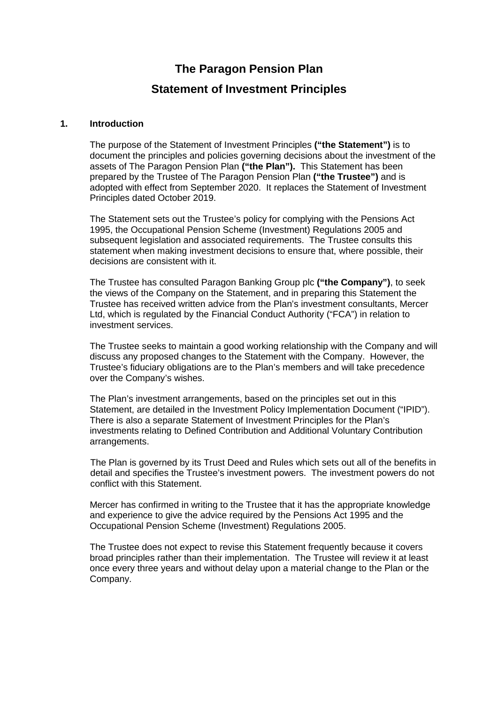**The Paragon Pension Plan**

# **Statement of Investment Principles**

### **1. Introduction**

The purpose of the Statement of Investment Principles **("the Statement")** is to document the principles and policies governing decisions about the investment of the assets of The Paragon Pension Plan **("the Plan").** This Statement has been prepared by the Trustee of The Paragon Pension Plan **("the Trustee")** and is adopted with effect from September 2020. It replaces the Statement of Investment Principles dated October 2019.

The Statement sets out the Trustee's policy for complying with the Pensions Act 1995, the Occupational Pension Scheme (Investment) Regulations 2005 and subsequent legislation and associated requirements. The Trustee consults this statement when making investment decisions to ensure that, where possible, their decisions are consistent with it.

The Trustee has consulted Paragon Banking Group plc **("the Company")**, to seek the views of the Company on the Statement, and in preparing this Statement the Trustee has received written advice from the Plan's investment consultants, Mercer Ltd, which is regulated by the Financial Conduct Authority ("FCA") in relation to investment services.

The Trustee seeks to maintain a good working relationship with the Company and will discuss any proposed changes to the Statement with the Company. However, the Trustee's fiduciary obligations are to the Plan's members and will take precedence over the Company's wishes.

The Plan's investment arrangements, based on the principles set out in this Statement, are detailed in the Investment Policy Implementation Document ("IPID"). There is also a separate Statement of Investment Principles for the Plan's investments relating to Defined Contribution and Additional Voluntary Contribution arrangements.

The Plan is governed by its Trust Deed and Rules which sets out all of the benefits in detail and specifies the Trustee's investment powers. The investment powers do not conflict with this Statement.

Mercer has confirmed in writing to the Trustee that it has the appropriate knowledge and experience to give the advice required by the Pensions Act 1995 and the Occupational Pension Scheme (Investment) Regulations 2005.

The Trustee does not expect to revise this Statement frequently because it covers broad principles rather than their implementation. The Trustee will review it at least once every three years and without delay upon a material change to the Plan or the Company.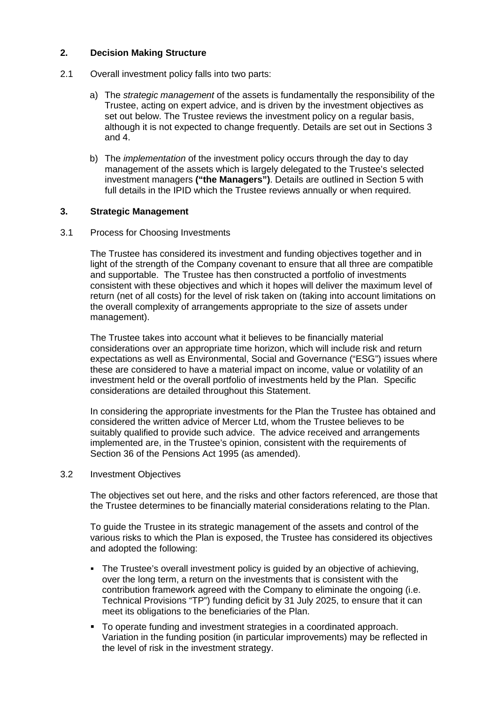# **2. Decision Making Structure**

- 2.1 Overall investment policy falls into two parts:
	- a) The *strategic management* of the assets is fundamentally the responsibility of the Trustee, acting on expert advice, and is driven by the investment objectives as set out below. The Trustee reviews the investment policy on a regular basis, although it is not expected to change frequently. Details are set out in Sections 3 and 4.
	- b) The *implementation* of the investment policy occurs through the day to day management of the assets which is largely delegated to the Trustee's selected investment managers **("the Managers")**. Details are outlined in Section 5 with full details in the IPID which the Trustee reviews annually or when required.

# **3. Strategic Management**

### 3.1 Process for Choosing Investments

The Trustee has considered its investment and funding objectives together and in light of the strength of the Company covenant to ensure that all three are compatible and supportable. The Trustee has then constructed a portfolio of investments consistent with these objectives and which it hopes will deliver the maximum level of return (net of all costs) for the level of risk taken on (taking into account limitations on the overall complexity of arrangements appropriate to the size of assets under management).

The Trustee takes into account what it believes to be financially material considerations over an appropriate time horizon, which will include risk and return expectations as well as Environmental, Social and Governance ("ESG") issues where these are considered to have a material impact on income, value or volatility of an investment held or the overall portfolio of investments held by the Plan. Specific considerations are detailed throughout this Statement.

In considering the appropriate investments for the Plan the Trustee has obtained and considered the written advice of Mercer Ltd, whom the Trustee believes to be suitably qualified to provide such advice. The advice received and arrangements implemented are, in the Trustee's opinion, consistent with the requirements of Section 36 of the Pensions Act 1995 (as amended).

### 3.2 Investment Objectives

The objectives set out here, and the risks and other factors referenced, are those that the Trustee determines to be financially material considerations relating to the Plan.

To guide the Trustee in its strategic management of the assets and control of the various risks to which the Plan is exposed, the Trustee has considered its objectives and adopted the following:

- The Trustee's overall investment policy is guided by an objective of achieving, over the long term, a return on the investments that is consistent with the contribution framework agreed with the Company to eliminate the ongoing (i.e. Technical Provisions "TP") funding deficit by 31 July 2025, to ensure that it can meet its obligations to the beneficiaries of the Plan.
- To operate funding and investment strategies in a coordinated approach. Variation in the funding position (in particular improvements) may be reflected in the level of risk in the investment strategy.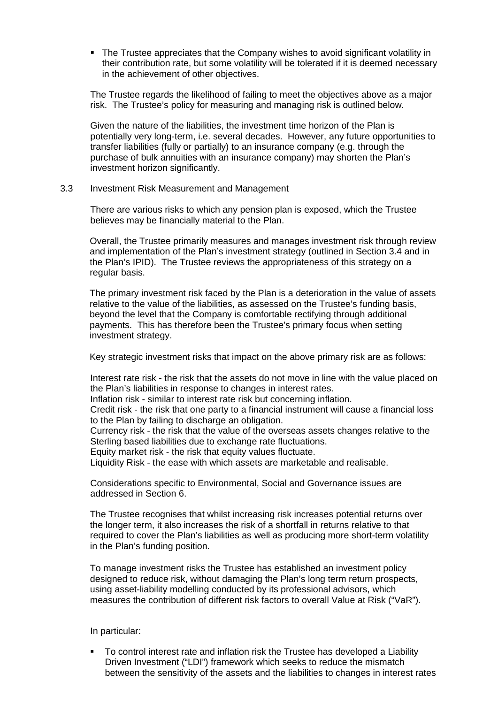The Trustee appreciates that the Company wishes to avoid significant volatility in their contribution rate, but some volatility will be tolerated if it is deemed necessary in the achievement of other objectives.

The Trustee regards the likelihood of failing to meet the objectives above as a major risk. The Trustee's policy for measuring and managing risk is outlined below.

Given the nature of the liabilities, the investment time horizon of the Plan is potentially very long-term, i.e. several decades. However, any future opportunities to transfer liabilities (fully or partially) to an insurance company (e.g. through the purchase of bulk annuities with an insurance company) may shorten the Plan's investment horizon significantly.

#### 3.3 Investment Risk Measurement and Management

There are various risks to which any pension plan is exposed, which the Trustee believes may be financially material to the Plan.

Overall, the Trustee primarily measures and manages investment risk through review and implementation of the Plan's investment strategy (outlined in Section 3.4 and in the Plan's IPID). The Trustee reviews the appropriateness of this strategy on a regular basis.

The primary investment risk faced by the Plan is a deterioration in the value of assets relative to the value of the liabilities, as assessed on the Trustee's funding basis, beyond the level that the Company is comfortable rectifying through additional payments. This has therefore been the Trustee's primary focus when setting investment strategy.

Key strategic investment risks that impact on the above primary risk are as follows:

Interest rate risk - the risk that the assets do not move in line with the value placed on the Plan's liabilities in response to changes in interest rates.

Inflation risk - similar to interest rate risk but concerning inflation.

Credit risk - the risk that one party to a financial instrument will cause a financial loss to the Plan by failing to discharge an obligation.

Currency risk - the risk that the value of the overseas assets changes relative to the Sterling based liabilities due to exchange rate fluctuations.

Equity market risk - the risk that equity values fluctuate.

Liquidity Risk - the ease with which assets are marketable and realisable.

Considerations specific to Environmental, Social and Governance issues are addressed in Section 6.

The Trustee recognises that whilst increasing risk increases potential returns over the longer term, it also increases the risk of a shortfall in returns relative to that required to cover the Plan's liabilities as well as producing more short-term volatility in the Plan's funding position.

To manage investment risks the Trustee has established an investment policy designed to reduce risk, without damaging the Plan's long term return prospects, using asset-liability modelling conducted by its professional advisors, which measures the contribution of different risk factors to overall Value at Risk ("VaR").

In particular:

 To control interest rate and inflation risk the Trustee has developed a Liability Driven Investment ("LDI") framework which seeks to reduce the mismatch between the sensitivity of the assets and the liabilities to changes in interest rates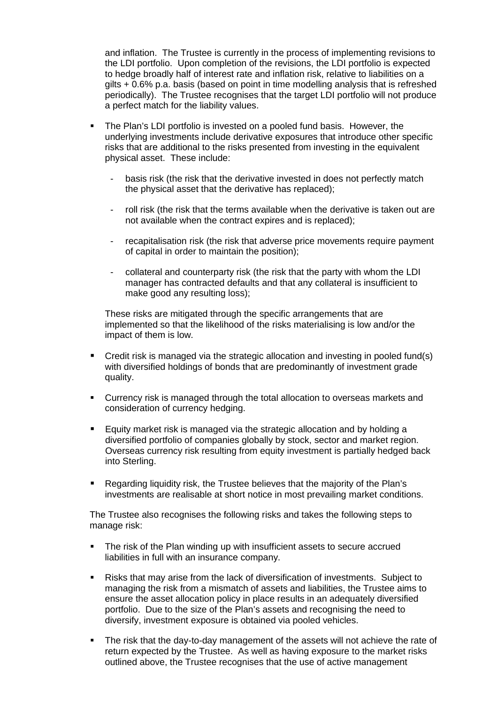and inflation. The Trustee is currently in the process of implementing revisions to the LDI portfolio. Upon completion of the revisions, the LDI portfolio is expected to hedge broadly half of interest rate and inflation risk, relative to liabilities on a gilts + 0.6% p.a. basis (based on point in time modelling analysis that is refreshed periodically). The Trustee recognises that the target LDI portfolio will not produce a perfect match for the liability values.

- The Plan's LDI portfolio is invested on a pooled fund basis. However, the underlying investments include derivative exposures that introduce other specific risks that are additional to the risks presented from investing in the equivalent physical asset. These include:
	- basis risk (the risk that the derivative invested in does not perfectly match the physical asset that the derivative has replaced);
	- roll risk (the risk that the terms available when the derivative is taken out are not available when the contract expires and is replaced);
	- recapitalisation risk (the risk that adverse price movements require payment of capital in order to maintain the position);
	- collateral and counterparty risk (the risk that the party with whom the LDI manager has contracted defaults and that any collateral is insufficient to make good any resulting loss);

These risks are mitigated through the specific arrangements that are implemented so that the likelihood of the risks materialising is low and/or the impact of them is low.

- **Credit risk is managed via the strategic allocation and investing in pooled fund(s)** with diversified holdings of bonds that are predominantly of investment grade quality.
- Currency risk is managed through the total allocation to overseas markets and consideration of currency hedging.
- Equity market risk is managed via the strategic allocation and by holding a diversified portfolio of companies globally by stock, sector and market region. Overseas currency risk resulting from equity investment is partially hedged back into Sterling.
- Regarding liquidity risk, the Trustee believes that the majority of the Plan's investments are realisable at short notice in most prevailing market conditions.

The Trustee also recognises the following risks and takes the following steps to manage risk:

- The risk of the Plan winding up with insufficient assets to secure accrued liabilities in full with an insurance company.
- Risks that may arise from the lack of diversification of investments. Subject to managing the risk from a mismatch of assets and liabilities, the Trustee aims to ensure the asset allocation policy in place results in an adequately diversified portfolio. Due to the size of the Plan's assets and recognising the need to diversify, investment exposure is obtained via pooled vehicles.
- The risk that the day-to-day management of the assets will not achieve the rate of return expected by the Trustee. As well as having exposure to the market risks outlined above, the Trustee recognises that the use of active management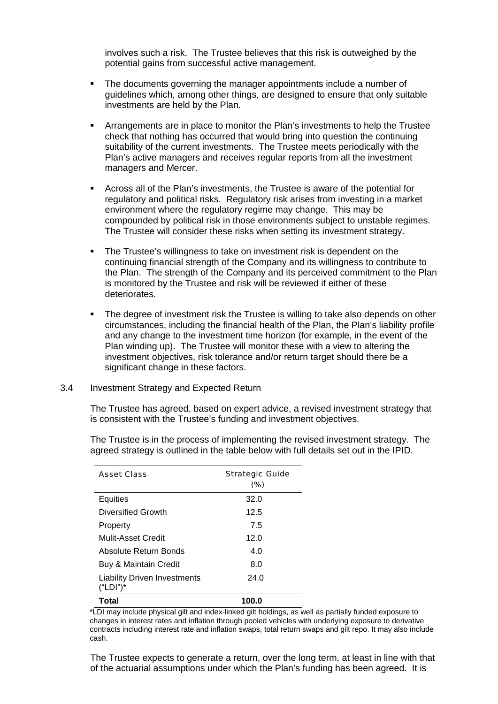involves such a risk. The Trustee believes that this risk is outweighed by the potential gains from successful active management.

- The documents governing the manager appointments include a number of guidelines which, among other things, are designed to ensure that only suitable investments are held by the Plan.
- Arrangements are in place to monitor the Plan's investments to help the Trustee check that nothing has occurred that would bring into question the continuing suitability of the current investments. The Trustee meets periodically with the Plan's active managers and receives regular reports from all the investment managers and Mercer.
- Across all of the Plan's investments, the Trustee is aware of the potential for regulatory and political risks. Regulatory risk arises from investing in a market environment where the regulatory regime may change. This may be compounded by political risk in those environments subject to unstable regimes. The Trustee will consider these risks when setting its investment strategy.
- The Trustee's willingness to take on investment risk is dependent on the continuing financial strength of the Company and its willingness to contribute to the Plan. The strength of the Company and its perceived commitment to the Plan is monitored by the Trustee and risk will be reviewed if either of these deteriorates.
- The degree of investment risk the Trustee is willing to take also depends on other circumstances, including the financial health of the Plan, the Plan's liability profile and any change to the investment time horizon (for example, in the event of the Plan winding up). The Trustee will monitor these with a view to altering the investment objectives, risk tolerance and/or return target should there be a significant change in these factors.

### 3.4 Investment Strategy and Expected Return

The Trustee has agreed, based on expert advice, a revised investment strategy that is consistent with the Trustee's funding and investment objectives.

The Trustee is in the process of implementing the revised investment strategy. The agreed strategy is outlined in the table below with full details set out in the IPID.

| Asset Class                              | Strategic Guide<br>(%) |
|------------------------------------------|------------------------|
| Equities                                 | 32.0                   |
| Diversified Growth                       | 12.5                   |
| Property                                 | 7.5                    |
| Mulit-Asset Credit                       | 12.0                   |
| Absolute Return Bonds                    | 4.0                    |
| Buy & Maintain Credit                    | 8.0                    |
| Liability Driven Investments<br>("LDI")* | 24.0                   |
| Total                                    | 100.0                  |

\*LDI may include physical gilt and index-linked gilt holdings, as well as partially funded exposure to changes in interest rates and inflation through pooled vehicles with underlying exposure to derivative contracts including interest rate and inflation swaps, total return swaps and gilt repo. It may also include cash.

The Trustee expects to generate a return, over the long term, at least in line with that of the actuarial assumptions under which the Plan's funding has been agreed. It is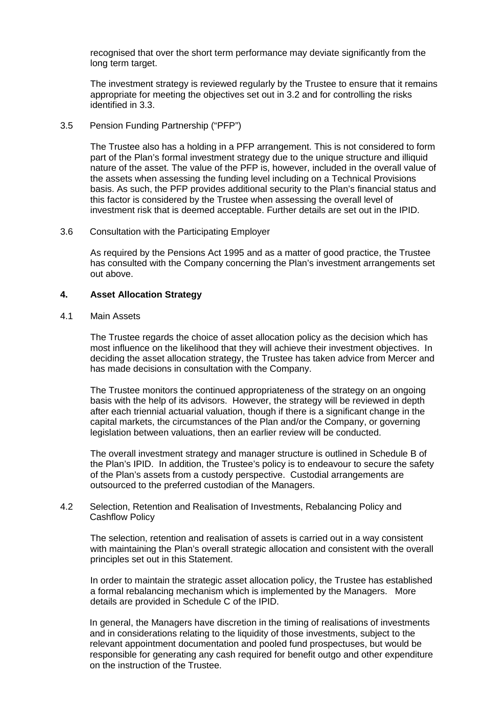recognised that over the short term performance may deviate significantly from the long term target.

The investment strategy is reviewed regularly by the Trustee to ensure that it remains appropriate for meeting the objectives set out in 3.2 and for controlling the risks identified in 3.3.

# 3.5 Pension Funding Partnership ("PFP")

 The Trustee also has a holding in a PFP arrangement. This is not considered to form part of the Plan's formal investment strategy due to the unique structure and illiquid nature of the asset. The value of the PFP is, however, included in the overall value of the assets when assessing the funding level including on a Technical Provisions basis. As such, the PFP provides additional security to the Plan's financial status and this factor is considered by the Trustee when assessing the overall level of investment risk that is deemed acceptable. Further details are set out in the IPID.

#### 3.6 Consultation with the Participating Employer

As required by the Pensions Act 1995 and as a matter of good practice, the Trustee has consulted with the Company concerning the Plan's investment arrangements set out above.

### **4. Asset Allocation Strategy**

### 4.1 Main Assets

The Trustee regards the choice of asset allocation policy as the decision which has most influence on the likelihood that they will achieve their investment objectives. In deciding the asset allocation strategy, the Trustee has taken advice from Mercer and has made decisions in consultation with the Company.

The Trustee monitors the continued appropriateness of the strategy on an ongoing basis with the help of its advisors. However, the strategy will be reviewed in depth after each triennial actuarial valuation, though if there is a significant change in the capital markets, the circumstances of the Plan and/or the Company, or governing legislation between valuations, then an earlier review will be conducted.

The overall investment strategy and manager structure is outlined in Schedule B of the Plan's IPID. In addition, the Trustee's policy is to endeavour to secure the safety of the Plan's assets from a custody perspective. Custodial arrangements are outsourced to the preferred custodian of the Managers.

### 4.2 Selection, Retention and Realisation of Investments, Rebalancing Policy and Cashflow Policy

The selection, retention and realisation of assets is carried out in a way consistent with maintaining the Plan's overall strategic allocation and consistent with the overall principles set out in this Statement.

In order to maintain the strategic asset allocation policy, the Trustee has established a formal rebalancing mechanism which is implemented by the Managers. More details are provided in Schedule C of the IPID.

In general, the Managers have discretion in the timing of realisations of investments and in considerations relating to the liquidity of those investments, subject to the relevant appointment documentation and pooled fund prospectuses, but would be responsible for generating any cash required for benefit outgo and other expenditure on the instruction of the Trustee.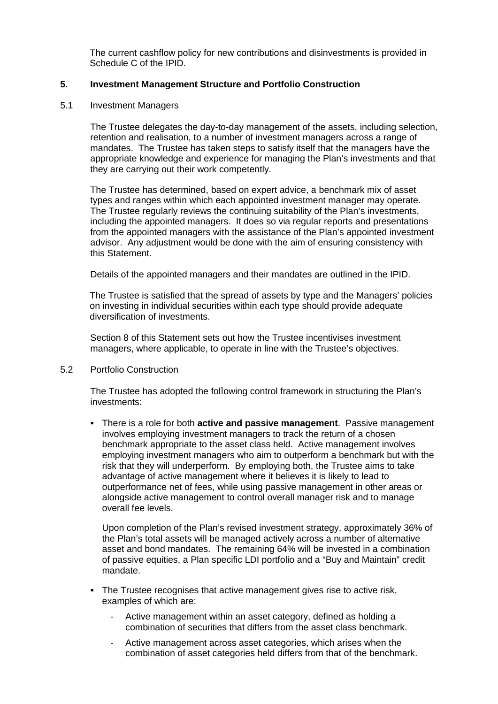The current cashflow policy for new contributions and disinvestments is provided in Schedule C of the IPID.

# **5. Investment Management Structure and Portfolio Construction**

# 5.1 Investment Managers

The Trustee delegates the day-to-day management of the assets, including selection, retention and realisation, to a number of investment managers across a range of mandates. The Trustee has taken steps to satisfy itself that the managers have the appropriate knowledge and experience for managing the Plan's investments and that they are carrying out their work competently.

The Trustee has determined, based on expert advice, a benchmark mix of asset types and ranges within which each appointed investment manager may operate. The Trustee regularly reviews the continuing suitability of the Plan's investments, including the appointed managers. It does so via regular reports and presentations from the appointed managers with the assistance of the Plan's appointed investment advisor. Any adjustment would be done with the aim of ensuring consistency with this Statement.

Details of the appointed managers and their mandates are outlined in the IPID.

The Trustee is satisfied that the spread of assets by type and the Managers' policies on investing in individual securities within each type should provide adequate diversification of investments.

Section 8 of this Statement sets out how the Trustee incentivises investment managers, where applicable, to operate in line with the Trustee's objectives.

5.2 Portfolio Construction

The Trustee has adopted the following control framework in structuring the Plan's investments:

 There is a role for both **active and passive management**. Passive management involves employing investment managers to track the return of a chosen benchmark appropriate to the asset class held. Active management involves employing investment managers who aim to outperform a benchmark but with the risk that they will underperform. By employing both, the Trustee aims to take advantage of active management where it believes it is likely to lead to outperformance net of fees, while using passive management in other areas or alongside active management to control overall manager risk and to manage overall fee levels.

Upon completion of the Plan's revised investment strategy, approximately 36% of the Plan's total assets will be managed actively across a number of alternative asset and bond mandates. The remaining 64% will be invested in a combination of passive equities, a Plan specific LDI portfolio and a "Buy and Maintain" credit mandate.

- The Trustee recognises that active management gives rise to active risk, examples of which are:
	- Active management within an asset category, defined as holding a combination of securities that differs from the asset class benchmark.
	- Active management across asset categories, which arises when the combination of asset categories held differs from that of the benchmark.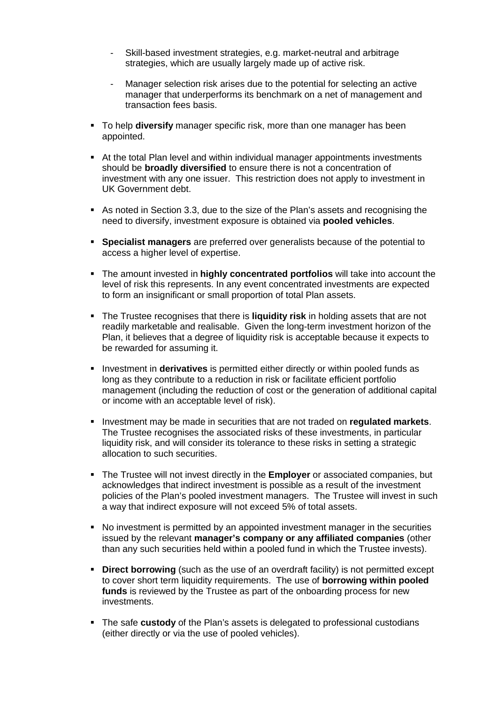- Skill-based investment strategies, e.g. market-neutral and arbitrage strategies, which are usually largely made up of active risk.
- Manager selection risk arises due to the potential for selecting an active manager that underperforms its benchmark on a net of management and transaction fees basis.
- To help **diversify** manager specific risk, more than one manager has been appointed.
- At the total Plan level and within individual manager appointments investments should be **broadly diversified** to ensure there is not a concentration of investment with any one issuer. This restriction does not apply to investment in UK Government debt.
- As noted in Section 3.3, due to the size of the Plan's assets and recognising the need to diversify, investment exposure is obtained via **pooled vehicles**.
- **Specialist managers** are preferred over generalists because of the potential to access a higher level of expertise.
- The amount invested in **highly concentrated portfolios** will take into account the level of risk this represents. In any event concentrated investments are expected to form an insignificant or small proportion of total Plan assets.
- The Trustee recognises that there is **liquidity risk** in holding assets that are not readily marketable and realisable. Given the long-term investment horizon of the Plan, it believes that a degree of liquidity risk is acceptable because it expects to be rewarded for assuming it.
- **Investment in derivatives** is permitted either directly or within pooled funds as long as they contribute to a reduction in risk or facilitate efficient portfolio management (including the reduction of cost or the generation of additional capital or income with an acceptable level of risk).
- Investment may be made in securities that are not traded on **regulated markets**. The Trustee recognises the associated risks of these investments, in particular liquidity risk, and will consider its tolerance to these risks in setting a strategic allocation to such securities.
- The Trustee will not invest directly in the **Employer** or associated companies, but acknowledges that indirect investment is possible as a result of the investment policies of the Plan's pooled investment managers. The Trustee will invest in such a way that indirect exposure will not exceed 5% of total assets.
- No investment is permitted by an appointed investment manager in the securities issued by the relevant **manager's company or any affiliated companies** (other than any such securities held within a pooled fund in which the Trustee invests).
- **Direct borrowing** (such as the use of an overdraft facility) is not permitted except to cover short term liquidity requirements. The use of **borrowing within pooled funds** is reviewed by the Trustee as part of the onboarding process for new investments.
- The safe **custody** of the Plan's assets is delegated to professional custodians (either directly or via the use of pooled vehicles).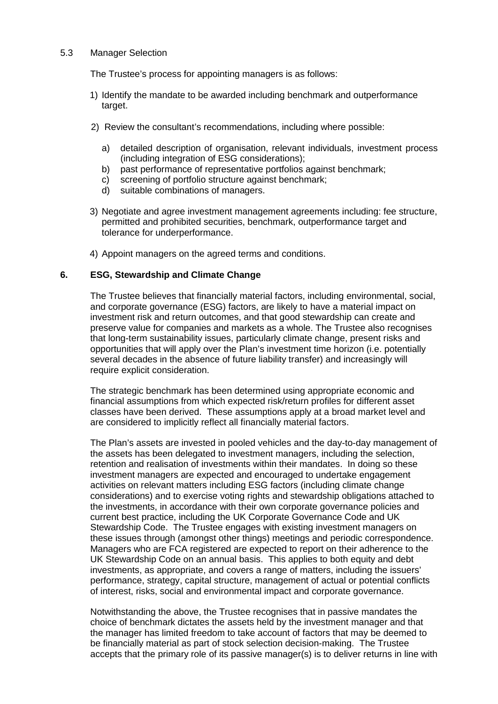### 5.3 Manager Selection

The Trustee's process for appointing managers is as follows:

- 1) Identify the mandate to be awarded including benchmark and outperformance target.
- 2) Review the consultant's recommendations, including where possible:
	- a) detailed description of organisation, relevant individuals, investment process (including integration of ESG considerations);
	- b) past performance of representative portfolios against benchmark;
	- c) screening of portfolio structure against benchmark;
	- d) suitable combinations of managers.
- 3) Negotiate and agree investment management agreements including: fee structure, permitted and prohibited securities, benchmark, outperformance target and tolerance for underperformance.
- 4) Appoint managers on the agreed terms and conditions.

# **6. ESG, Stewardship and Climate Change**

The Trustee believes that financially material factors, including environmental, social, and corporate governance (ESG) factors, are likely to have a material impact on investment risk and return outcomes, and that good stewardship can create and preserve value for companies and markets as a whole. The Trustee also recognises that long-term sustainability issues, particularly climate change, present risks and opportunities that will apply over the Plan's investment time horizon (i.e. potentially several decades in the absence of future liability transfer) and increasingly will require explicit consideration.

The strategic benchmark has been determined using appropriate economic and financial assumptions from which expected risk/return profiles for different asset classes have been derived. These assumptions apply at a broad market level and are considered to implicitly reflect all financially material factors.

The Plan's assets are invested in pooled vehicles and the day-to-day management of the assets has been delegated to investment managers, including the selection, retention and realisation of investments within their mandates. In doing so these investment managers are expected and encouraged to undertake engagement activities on relevant matters including ESG factors (including climate change considerations) and to exercise voting rights and stewardship obligations attached to the investments, in accordance with their own corporate governance policies and current best practice, including the UK Corporate Governance Code and UK Stewardship Code. The Trustee engages with existing investment managers on these issues through (amongst other things) meetings and periodic correspondence. Managers who are FCA registered are expected to report on their adherence to the UK Stewardship Code on an annual basis. This applies to both equity and debt investments, as appropriate, and covers a range of matters, including the issuers' performance, strategy, capital structure, management of actual or potential conflicts of interest, risks, social and environmental impact and corporate governance.

Notwithstanding the above, the Trustee recognises that in passive mandates the choice of benchmark dictates the assets held by the investment manager and that the manager has limited freedom to take account of factors that may be deemed to be financially material as part of stock selection decision-making. The Trustee accepts that the primary role of its passive manager(s) is to deliver returns in line with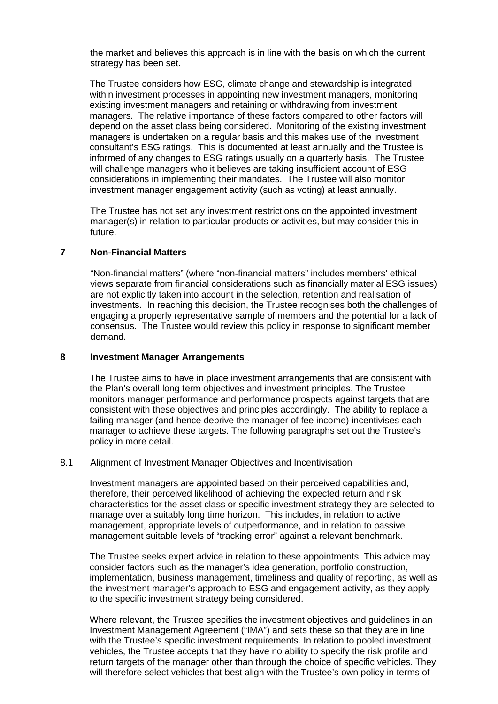the market and believes this approach is in line with the basis on which the current strategy has been set.

The Trustee considers how ESG, climate change and stewardship is integrated within investment processes in appointing new investment managers, monitoring existing investment managers and retaining or withdrawing from investment managers. The relative importance of these factors compared to other factors will depend on the asset class being considered. Monitoring of the existing investment managers is undertaken on a regular basis and this makes use of the investment consultant's ESG ratings. This is documented at least annually and the Trustee is informed of any changes to ESG ratings usually on a quarterly basis. The Trustee will challenge managers who it believes are taking insufficient account of ESG considerations in implementing their mandates. The Trustee will also monitor investment manager engagement activity (such as voting) at least annually.

The Trustee has not set any investment restrictions on the appointed investment manager(s) in relation to particular products or activities, but may consider this in future.

# **7 Non-Financial Matters**

"Non-financial matters" (where "non-financial matters" includes members' ethical views separate from financial considerations such as financially material ESG issues) are not explicitly taken into account in the selection, retention and realisation of investments. In reaching this decision, the Trustee recognises both the challenges of engaging a properly representative sample of members and the potential for a lack of consensus. The Trustee would review this policy in response to significant member demand.

### **8 Investment Manager Arrangements**

The Trustee aims to have in place investment arrangements that are consistent with the Plan's overall long term objectives and investment principles. The Trustee monitors manager performance and performance prospects against targets that are consistent with these objectives and principles accordingly. The ability to replace a failing manager (and hence deprive the manager of fee income) incentivises each manager to achieve these targets. The following paragraphs set out the Trustee's policy in more detail.

### 8.1 Alignment of Investment Manager Objectives and Incentivisation

Investment managers are appointed based on their perceived capabilities and, therefore, their perceived likelihood of achieving the expected return and risk characteristics for the asset class or specific investment strategy they are selected to manage over a suitably long time horizon. This includes, in relation to active management, appropriate levels of outperformance, and in relation to passive management suitable levels of "tracking error" against a relevant benchmark.

The Trustee seeks expert advice in relation to these appointments. This advice may consider factors such as the manager's idea generation, portfolio construction, implementation, business management, timeliness and quality of reporting, as well as the investment manager's approach to ESG and engagement activity, as they apply to the specific investment strategy being considered.

Where relevant, the Trustee specifies the investment objectives and guidelines in an Investment Management Agreement ("IMA") and sets these so that they are in line with the Trustee's specific investment requirements. In relation to pooled investment vehicles, the Trustee accepts that they have no ability to specify the risk profile and return targets of the manager other than through the choice of specific vehicles. They will therefore select vehicles that best align with the Trustee's own policy in terms of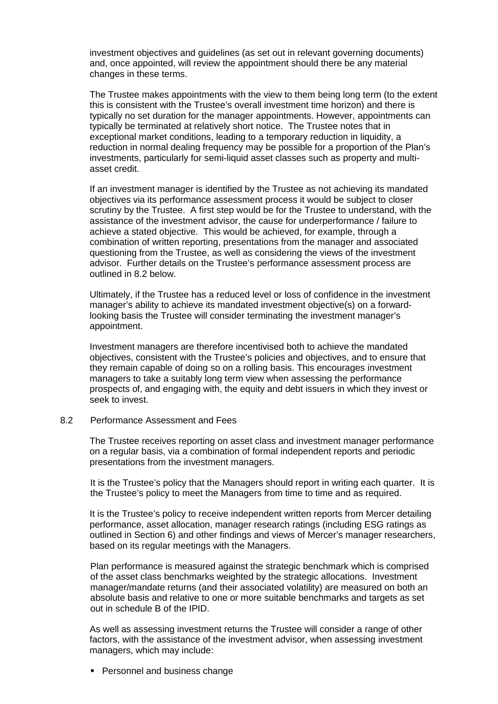investment objectives and guidelines (as set out in relevant governing documents) and, once appointed, will review the appointment should there be any material changes in these terms.

The Trustee makes appointments with the view to them being long term (to the extent this is consistent with the Trustee's overall investment time horizon) and there is typically no set duration for the manager appointments. However, appointments can typically be terminated at relatively short notice. The Trustee notes that in exceptional market conditions, leading to a temporary reduction in liquidity, a reduction in normal dealing frequency may be possible for a proportion of the Plan's investments, particularly for semi-liquid asset classes such as property and multiasset credit.

If an investment manager is identified by the Trustee as not achieving its mandated objectives via its performance assessment process it would be subject to closer scrutiny by the Trustee. A first step would be for the Trustee to understand, with the assistance of the investment advisor, the cause for underperformance / failure to achieve a stated objective. This would be achieved, for example, through a combination of written reporting, presentations from the manager and associated questioning from the Trustee, as well as considering the views of the investment advisor. Further details on the Trustee's performance assessment process are outlined in 8.2 below.

Ultimately, if the Trustee has a reduced level or loss of confidence in the investment manager's ability to achieve its mandated investment objective(s) on a forwardlooking basis the Trustee will consider terminating the investment manager's appointment.

Investment managers are therefore incentivised both to achieve the mandated objectives, consistent with the Trustee's policies and objectives, and to ensure that they remain capable of doing so on a rolling basis. This encourages investment managers to take a suitably long term view when assessing the performance prospects of, and engaging with, the equity and debt issuers in which they invest or seek to invest.

#### 8.2 Performance Assessment and Fees

The Trustee receives reporting on asset class and investment manager performance on a regular basis, via a combination of formal independent reports and periodic presentations from the investment managers.

It is the Trustee's policy that the Managers should report in writing each quarter. It is the Trustee's policy to meet the Managers from time to time and as required.

It is the Trustee's policy to receive independent written reports from Mercer detailing performance, asset allocation, manager research ratings (including ESG ratings as outlined in Section 6) and other findings and views of Mercer's manager researchers, based on its regular meetings with the Managers.

Plan performance is measured against the strategic benchmark which is comprised of the asset class benchmarks weighted by the strategic allocations. Investment manager/mandate returns (and their associated volatility) are measured on both an absolute basis and relative to one or more suitable benchmarks and targets as set out in schedule B of the IPID.

As well as assessing investment returns the Trustee will consider a range of other factors, with the assistance of the investment advisor, when assessing investment managers, which may include:

**Personnel and business change**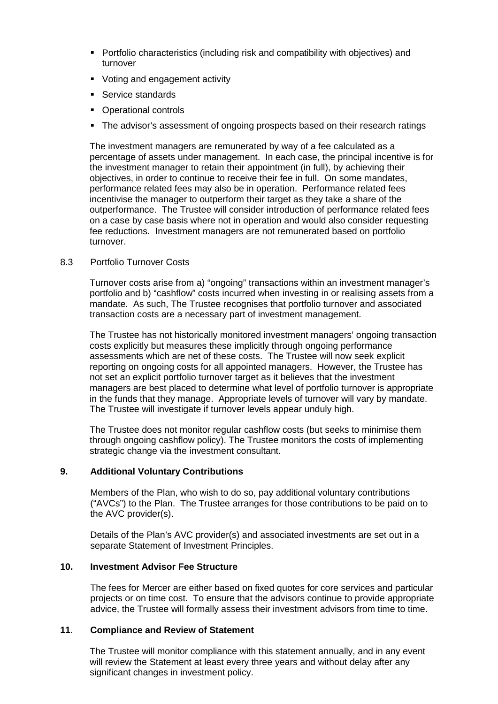- Portfolio characteristics (including risk and compatibility with objectives) and turnover
- Voting and engagement activity
- **Service standards**
- Operational controls
- The advisor's assessment of ongoing prospects based on their research ratings

The investment managers are remunerated by way of a fee calculated as a percentage of assets under management. In each case, the principal incentive is for the investment manager to retain their appointment (in full), by achieving their objectives, in order to continue to receive their fee in full. On some mandates, performance related fees may also be in operation. Performance related fees incentivise the manager to outperform their target as they take a share of the outperformance. The Trustee will consider introduction of performance related fees on a case by case basis where not in operation and would also consider requesting fee reductions. Investment managers are not remunerated based on portfolio turnover.

# 8.3 Portfolio Turnover Costs

Turnover costs arise from a) "ongoing" transactions within an investment manager's portfolio and b) "cashflow" costs incurred when investing in or realising assets from a mandate. As such, The Trustee recognises that portfolio turnover and associated transaction costs are a necessary part of investment management.

The Trustee has not historically monitored investment managers' ongoing transaction costs explicitly but measures these implicitly through ongoing performance assessments which are net of these costs. The Trustee will now seek explicit reporting on ongoing costs for all appointed managers. However, the Trustee has not set an explicit portfolio turnover target as it believes that the investment managers are best placed to determine what level of portfolio turnover is appropriate in the funds that they manage. Appropriate levels of turnover will vary by mandate. The Trustee will investigate if turnover levels appear unduly high.

The Trustee does not monitor regular cashflow costs (but seeks to minimise them through ongoing cashflow policy). The Trustee monitors the costs of implementing strategic change via the investment consultant.

# **9. Additional Voluntary Contributions**

Members of the Plan, who wish to do so, pay additional voluntary contributions ("AVCs") to the Plan. The Trustee arranges for those contributions to be paid on to the AVC provider(s).

Details of the Plan's AVC provider(s) and associated investments are set out in a separate Statement of Investment Principles.

# **10. Investment Advisor Fee Structure**

The fees for Mercer are either based on fixed quotes for core services and particular projects or on time cost. To ensure that the advisors continue to provide appropriate advice, the Trustee will formally assess their investment advisors from time to time.

# **11**. **Compliance and Review of Statement**

The Trustee will monitor compliance with this statement annually, and in any event will review the Statement at least every three years and without delay after any significant changes in investment policy.